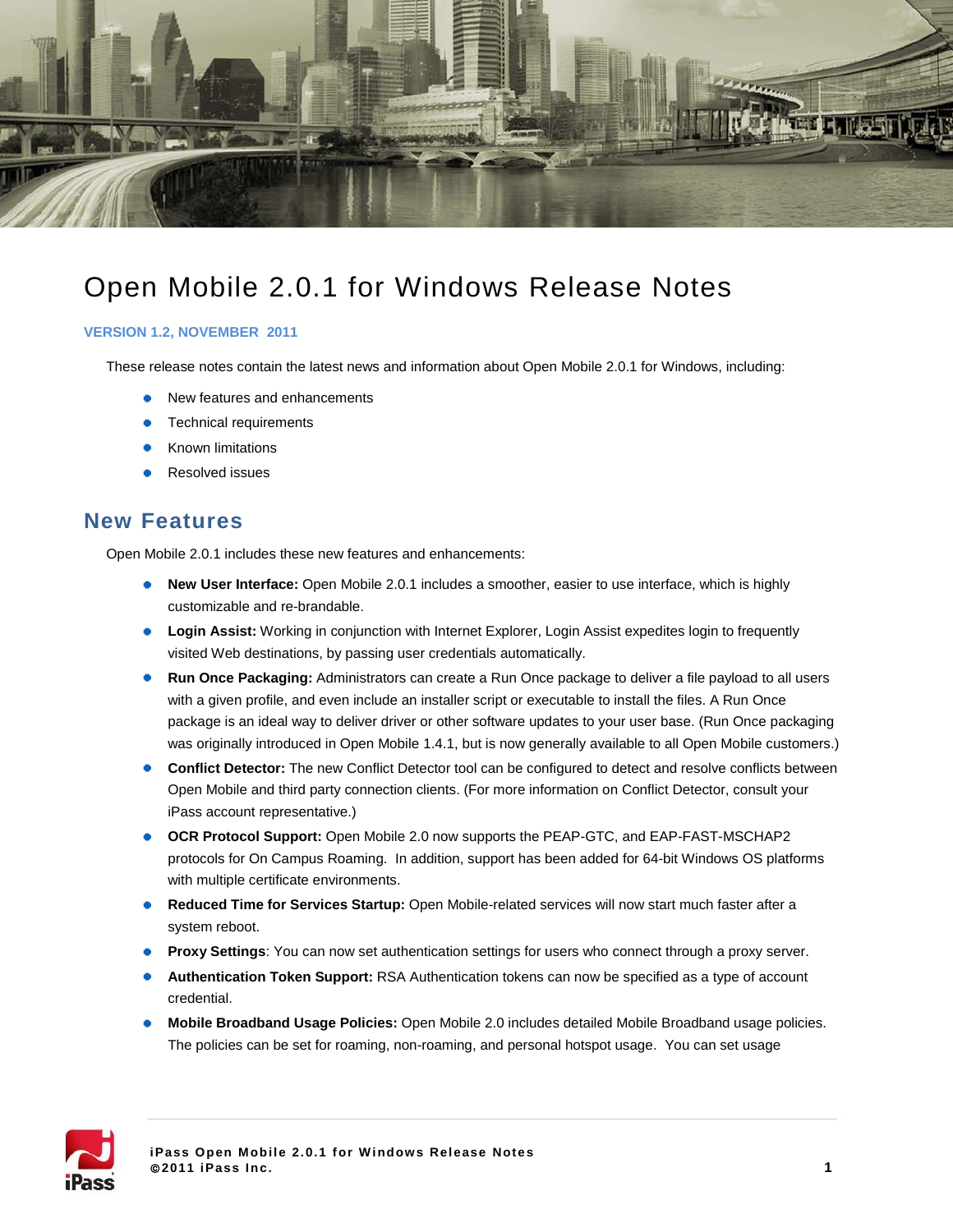

# Open Mobile 2.0.1 for Windows Release Notes

#### **VERSION 1.2, NOVEMBER 2011**

These release notes contain the latest news and information about Open Mobile 2.0.1 for Windows, including:

- New features and enhancements
- Technical requirements
- Known limitations
- Resolved issues

## **New Features**

Open Mobile 2.0.1 includes these new features and enhancements:

- **New User Interface:** Open Mobile 2.0.1 includes a smoother, easier to use interface, which is highly customizable and re-brandable.
- **Login Assist:** Working in conjunction with Internet Explorer, Login Assist expedites login to frequently visited Web destinations, by passing user credentials automatically.
- **Run Once Packaging:** Administrators can create a Run Once package to deliver a file payload to all users with a given profile, and even include an installer script or executable to install the files. A Run Once package is an ideal way to deliver driver or other software updates to your user base. (Run Once packaging was originally introduced in Open Mobile 1.4.1, but is now generally available to all Open Mobile customers.)
- **Conflict Detector:** The new Conflict Detector tool can be configured to detect and resolve conflicts between Open Mobile and third party connection clients. (For more information on Conflict Detector, consult your iPass account representative.)
- **OCR Protocol Support:** Open Mobile 2.0 now supports the PEAP-GTC, and EAP-FAST-MSCHAP2 protocols for On Campus Roaming. In addition, support has been added for 64-bit Windows OS platforms with multiple certificate environments.
- **Reduced Time for Services Startup:** Open Mobile-related services will now start much faster after a system reboot.
- **Proxy Settings:** You can now set authentication settings for users who connect through a proxy server.
- **Authentication Token Support:** RSA Authentication tokens can now be specified as a type of account credential.
- **Mobile Broadband Usage Policies:** Open Mobile 2.0 includes detailed Mobile Broadband usage policies. The policies can be set for roaming, non-roaming, and personal hotspot usage. You can set usage

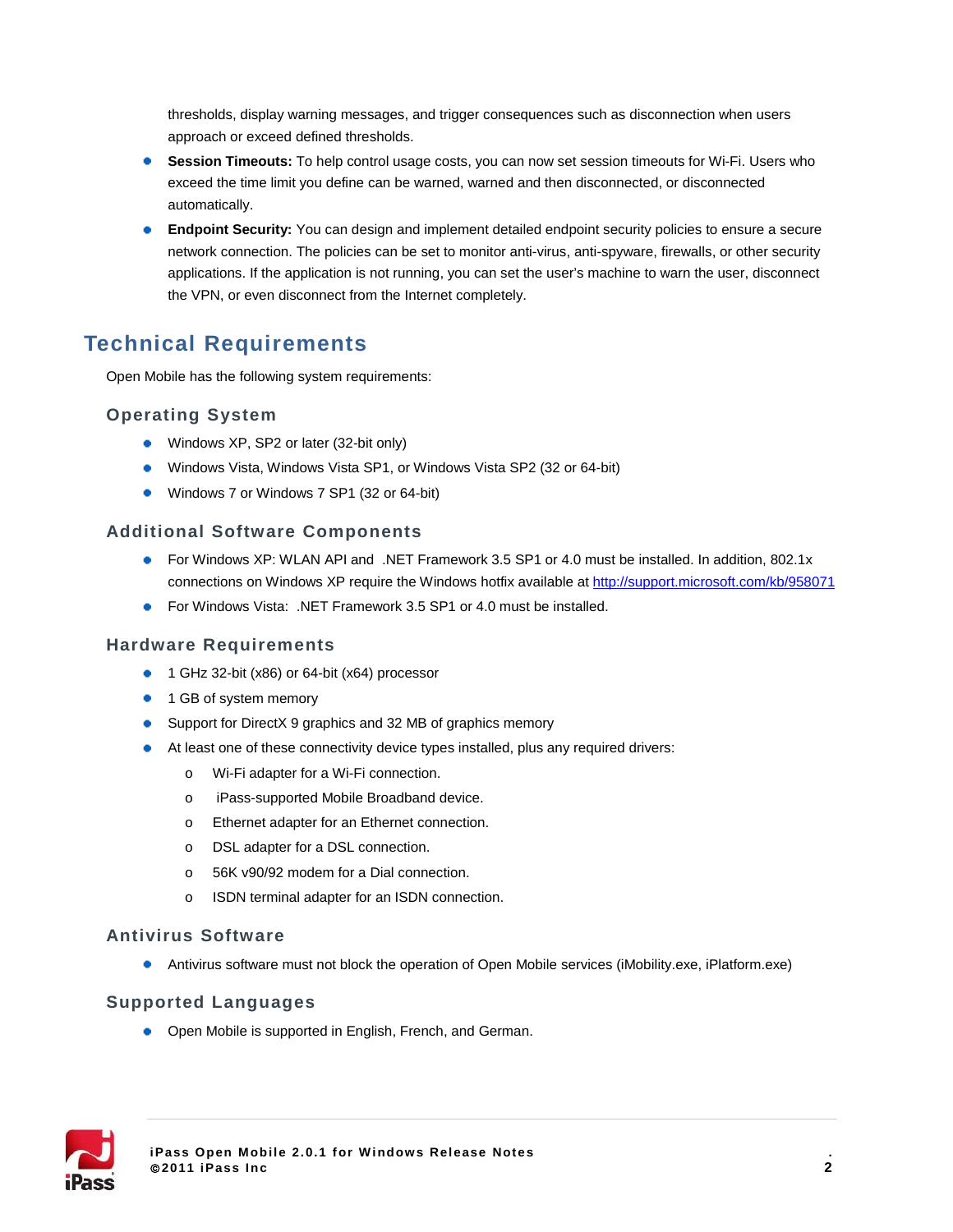thresholds, display warning messages, and trigger consequences such as disconnection when users approach or exceed defined thresholds.

- **Session Timeouts:** To help control usage costs, you can now set session timeouts for Wi-Fi. Users who exceed the time limit you define can be warned, warned and then disconnected, or disconnected automatically.
- **Endpoint Security:** You can design and implement detailed endpoint security policies to ensure a secure network connection. The policies can be set to monitor anti-virus, anti-spyware, firewalls, or other security applications. If the application is not running, you can set the user's machine to warn the user, disconnect the VPN, or even disconnect from the Internet completely.

## **Technical Requirements**

Open Mobile has the following system requirements:

#### **Operating System**

- Windows XP, SP2 or later (32-bit only)
- Windows Vista, Windows Vista SP1, or Windows Vista SP2 (32 or 64-bit)
- Windows 7 or Windows 7 SP1 (32 or 64-bit)

#### **Additional Software Components**

- For Windows XP: WLAN API and .NET Framework 3.5 SP1 or 4.0 must be installed. In addition, 802.1x connections on Windows XP require the Windows hotfix available at<http://support.microsoft.com/kb/958071>
- **•** For Windows Vista: .NET Framework 3.5 SP1 or 4.0 must be installed.

#### **Hardware Requirements**

- 1 GHz 32-bit (x86) or 64-bit (x64) processor
- 1 GB of system memory
- Support for DirectX 9 graphics and 32 MB of graphics memory
- At least one of these connectivity device types installed, plus any required drivers:
	- o Wi-Fi adapter for a Wi-Fi connection.
	- o iPass-supported Mobile Broadband device.
	- o Ethernet adapter for an Ethernet connection.
	- o DSL adapter for a DSL connection.
	- o 56K v90/92 modem for a Dial connection.
	- o ISDN terminal adapter for an ISDN connection.

#### **Antivirus Software**

Antivirus software must not block the operation of Open Mobile services (iMobility.exe, iPlatform.exe)

#### **Supported Languages**

• Open Mobile is supported in English, French, and German.

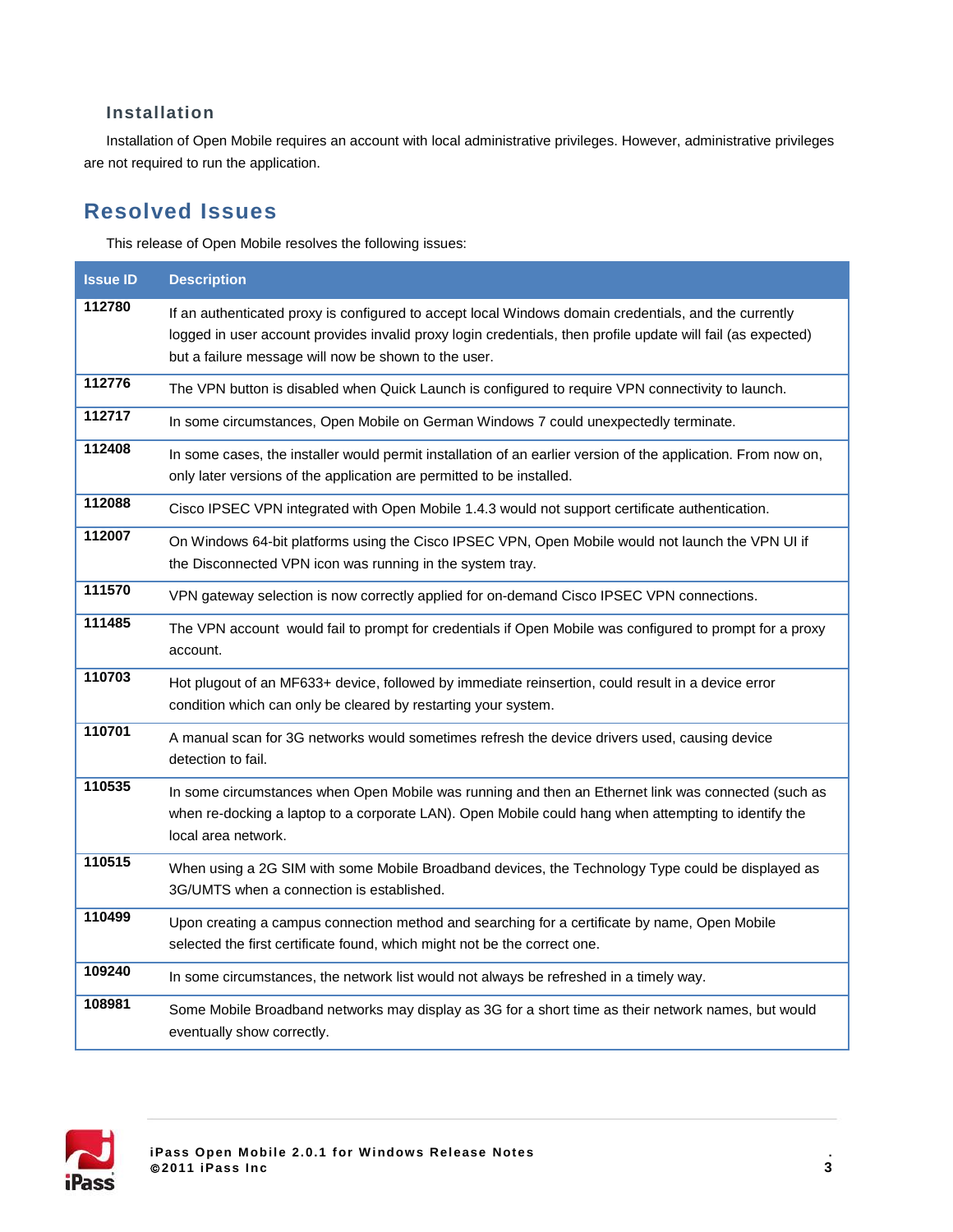#### **Installation**

Installation of Open Mobile requires an account with local administrative privileges. However, administrative privileges are not required to run the application.

## **Resolved Issues**

This release of Open Mobile resolves the following issues:

| <b>Issue ID</b> | <b>Description</b>                                                                                                                                                                                                                                                            |
|-----------------|-------------------------------------------------------------------------------------------------------------------------------------------------------------------------------------------------------------------------------------------------------------------------------|
| 112780          | If an authenticated proxy is configured to accept local Windows domain credentials, and the currently<br>logged in user account provides invalid proxy login credentials, then profile update will fail (as expected)<br>but a failure message will now be shown to the user. |
| 112776          | The VPN button is disabled when Quick Launch is configured to require VPN connectivity to launch.                                                                                                                                                                             |
| 112717          | In some circumstances, Open Mobile on German Windows 7 could unexpectedly terminate.                                                                                                                                                                                          |
| 112408          | In some cases, the installer would permit installation of an earlier version of the application. From now on,<br>only later versions of the application are permitted to be installed.                                                                                        |
| 112088          | Cisco IPSEC VPN integrated with Open Mobile 1.4.3 would not support certificate authentication.                                                                                                                                                                               |
| 112007          | On Windows 64-bit platforms using the Cisco IPSEC VPN, Open Mobile would not launch the VPN UI if<br>the Disconnected VPN icon was running in the system tray.                                                                                                                |
| 111570          | VPN gateway selection is now correctly applied for on-demand Cisco IPSEC VPN connections.                                                                                                                                                                                     |
| 111485          | The VPN account would fail to prompt for credentials if Open Mobile was configured to prompt for a proxy<br>account.                                                                                                                                                          |
| 110703          | Hot plugout of an MF633+ device, followed by immediate reinsertion, could result in a device error<br>condition which can only be cleared by restarting your system.                                                                                                          |
| 110701          | A manual scan for 3G networks would sometimes refresh the device drivers used, causing device<br>detection to fail.                                                                                                                                                           |
| 110535          | In some circumstances when Open Mobile was running and then an Ethernet link was connected (such as<br>when re-docking a laptop to a corporate LAN). Open Mobile could hang when attempting to identify the<br>local area network.                                            |
| 110515          | When using a 2G SIM with some Mobile Broadband devices, the Technology Type could be displayed as<br>3G/UMTS when a connection is established.                                                                                                                                |
| 110499          | Upon creating a campus connection method and searching for a certificate by name, Open Mobile<br>selected the first certificate found, which might not be the correct one.                                                                                                    |
| 109240          | In some circumstances, the network list would not always be refreshed in a timely way.                                                                                                                                                                                        |
| 108981          | Some Mobile Broadband networks may display as 3G for a short time as their network names, but would<br>eventually show correctly.                                                                                                                                             |

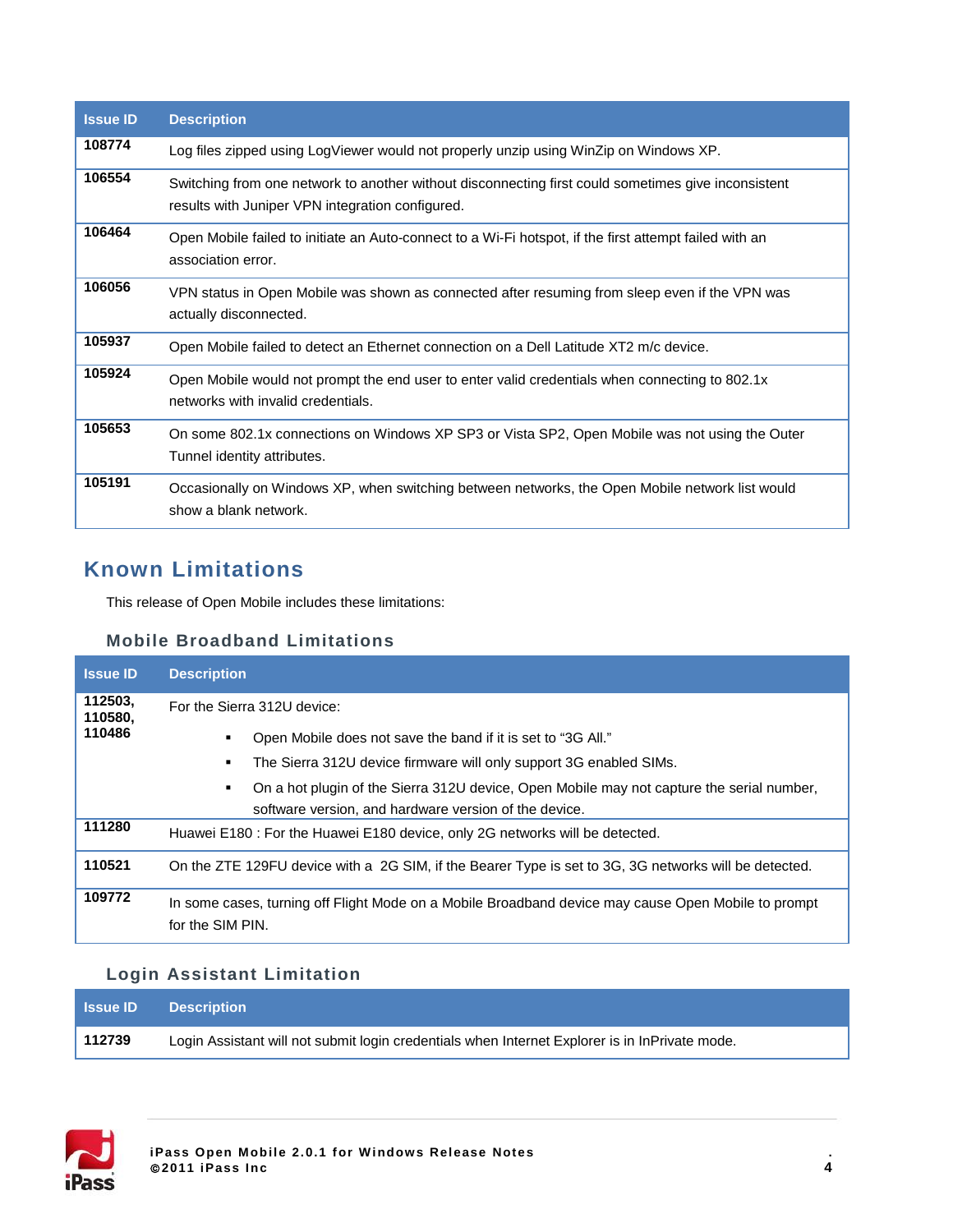| <b>Issue ID</b> | <b>Description</b>                                                                                                                                      |
|-----------------|---------------------------------------------------------------------------------------------------------------------------------------------------------|
| 108774          | Log files zipped using LogViewer would not properly unzip using WinZip on Windows XP.                                                                   |
| 106554          | Switching from one network to another without disconnecting first could sometimes give inconsistent<br>results with Juniper VPN integration configured. |
| 106464          | Open Mobile failed to initiate an Auto-connect to a Wi-Fi hotspot, if the first attempt failed with an<br>association error.                            |
| 106056          | VPN status in Open Mobile was shown as connected after resuming from sleep even if the VPN was<br>actually disconnected.                                |
| 105937          | Open Mobile failed to detect an Ethernet connection on a Dell Latitude XT2 m/c device.                                                                  |
| 105924          | Open Mobile would not prompt the end user to enter valid credentials when connecting to 802.1x<br>networks with invalid credentials.                    |
| 105653          | On some 802.1x connections on Windows XP SP3 or Vista SP2, Open Mobile was not using the Outer<br>Tunnel identity attributes.                           |
| 105191          | Occasionally on Windows XP, when switching between networks, the Open Mobile network list would<br>show a blank network.                                |

## **Known Limitations**

This release of Open Mobile includes these limitations:

#### **Mobile Broadband Limitations**

| <b>Issue ID</b>    | <b>Description</b>                                                                                                      |
|--------------------|-------------------------------------------------------------------------------------------------------------------------|
| 112503,<br>110580, | For the Sierra 312U device:                                                                                             |
| 110486             | Open Mobile does not save the band if it is set to "3G All."                                                            |
|                    | The Sierra 312U device firmware will only support 3G enabled SIMs.                                                      |
|                    | On a hot plugin of the Sierra 312U device, Open Mobile may not capture the serial number,                               |
|                    | software version, and hardware version of the device.                                                                   |
| 111280             | Huawei E180 : For the Huawei E180 device, only 2G networks will be detected.                                            |
| 110521             | On the ZTE 129FU device with a 2G SIM, if the Bearer Type is set to 3G, 3G networks will be detected.                   |
| 109772             | In some cases, turning off Flight Mode on a Mobile Broadband device may cause Open Mobile to prompt<br>for the SIM PIN. |

## **Login Assistant Limitation**

| <b>Samue ID</b> | <b>Description</b>                                                                             |
|-----------------|------------------------------------------------------------------------------------------------|
| 112739          | Login Assistant will not submit login credentials when Internet Explorer is in InPrivate mode. |

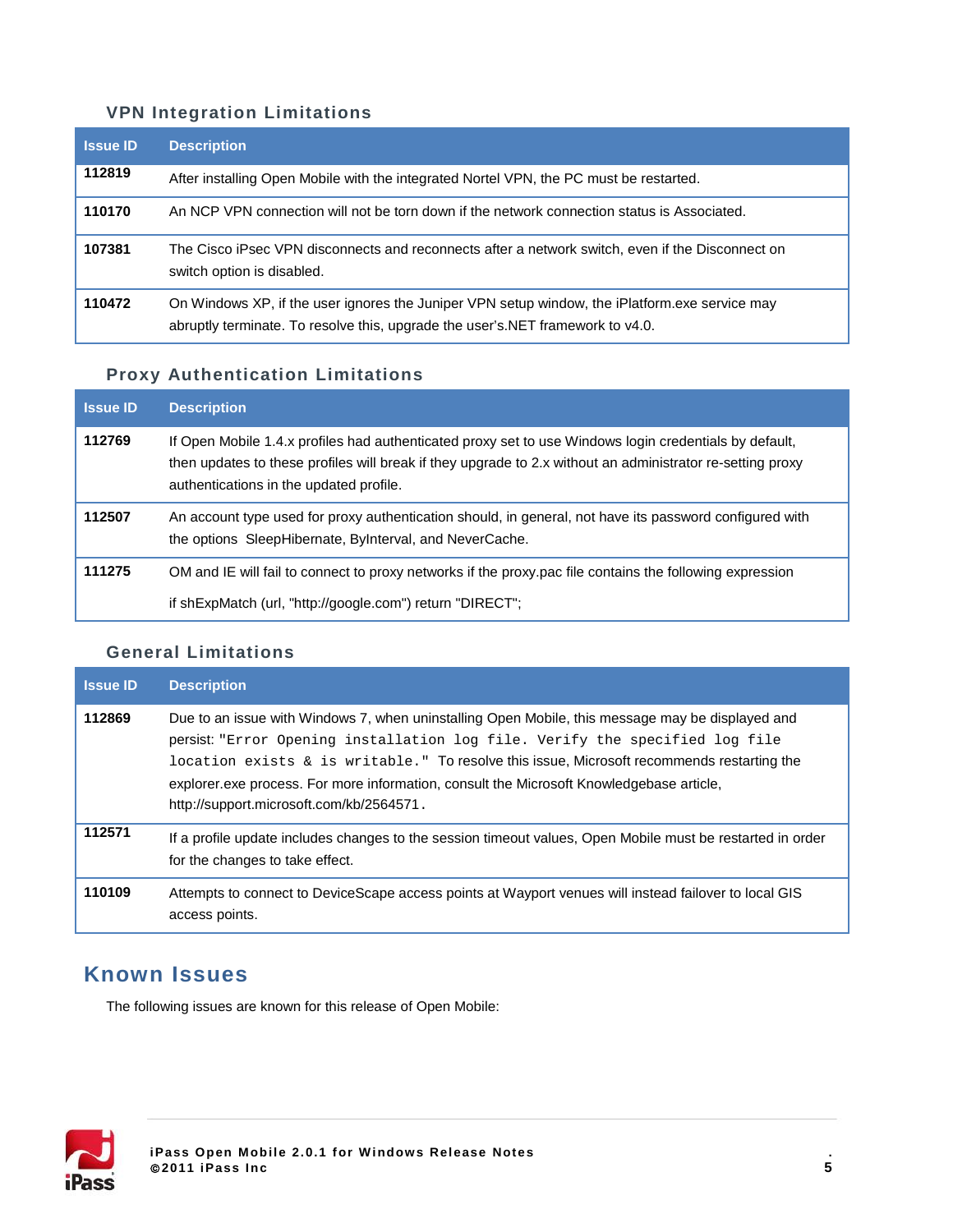#### **VPN Integration Limitations**

| <b>Issue ID</b> | <b>Description</b>                                                                                                                                                                |
|-----------------|-----------------------------------------------------------------------------------------------------------------------------------------------------------------------------------|
| 112819          | After installing Open Mobile with the integrated Nortel VPN, the PC must be restarted.                                                                                            |
| 110170          | An NCP VPN connection will not be torn down if the network connection status is Associated.                                                                                       |
| 107381          | The Cisco iPsec VPN disconnects and reconnects after a network switch, even if the Disconnect on<br>switch option is disabled.                                                    |
| 110472          | On Windows XP, if the user ignores the Juniper VPN setup window, the iPlatform exe service may<br>abruptly terminate. To resolve this, upgrade the user's. NET framework to v4.0. |

## **Proxy Authentication Limitations**

| <b>Issue ID</b> | <b>Description</b>                                                                                                                                                                                                                                              |
|-----------------|-----------------------------------------------------------------------------------------------------------------------------------------------------------------------------------------------------------------------------------------------------------------|
| 112769          | If Open Mobile 1.4.x profiles had authenticated proxy set to use Windows login credentials by default,<br>then updates to these profiles will break if they upgrade to 2.x without an administrator re-setting proxy<br>authentications in the updated profile. |
| 112507          | An account type used for proxy authentication should, in general, not have its password configured with<br>the options SleepHibernate, ByInterval, and NeverCache.                                                                                              |
| 111275          | OM and IE will fail to connect to proxy networks if the proxy pac file contains the following expression                                                                                                                                                        |
|                 | if shExpMatch (url, "http://google.com") return "DIRECT";                                                                                                                                                                                                       |

### **General Limitations**

| <b>Issue ID</b> | <b>Description</b>                                                                                                                                                                                                                                                                                                                                                                                                        |
|-----------------|---------------------------------------------------------------------------------------------------------------------------------------------------------------------------------------------------------------------------------------------------------------------------------------------------------------------------------------------------------------------------------------------------------------------------|
| 112869          | Due to an issue with Windows 7, when uninstalling Open Mobile, this message may be displayed and<br>persist: "Error Opening installation log file. Verify the specified log file<br>location exists $\&$ is writable." To resolve this issue, Microsoft recommends restarting the<br>explorer exe process. For more information, consult the Microsoft Knowledgebase article,<br>http://support.microsoft.com/kb/2564571. |
| 112571          | If a profile update includes changes to the session timeout values, Open Mobile must be restarted in order<br>for the changes to take effect.                                                                                                                                                                                                                                                                             |
| 110109          | Attempts to connect to DeviceScape access points at Wayport venues will instead failover to local GIS<br>access points.                                                                                                                                                                                                                                                                                                   |

## **Known Issues**

The following issues are known for this release of Open Mobile:

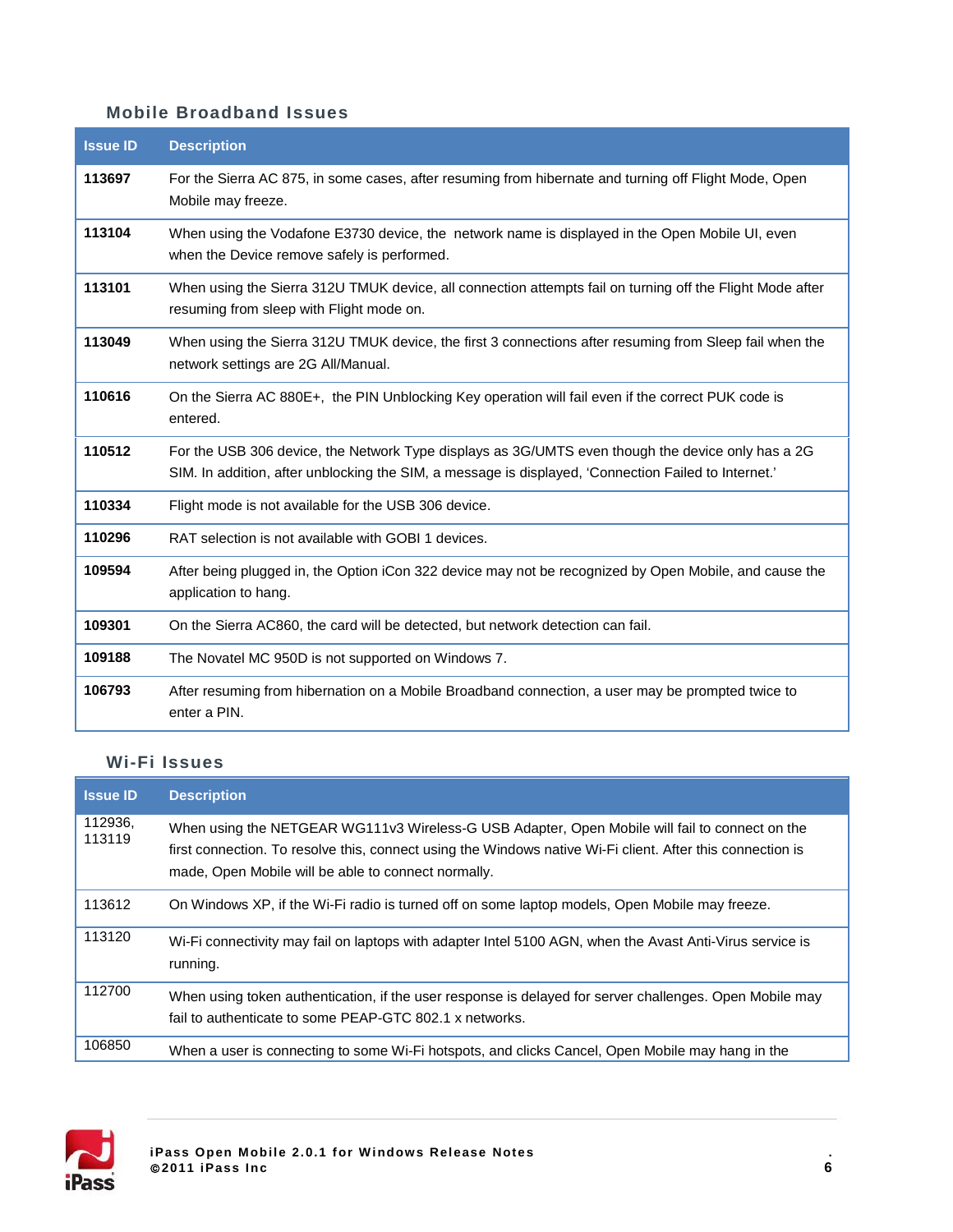### **Mobile Broadband Issues**

| <b>Issue ID</b> | <b>Description</b>                                                                                                                                                                                        |
|-----------------|-----------------------------------------------------------------------------------------------------------------------------------------------------------------------------------------------------------|
| 113697          | For the Sierra AC 875, in some cases, after resuming from hibernate and turning off Flight Mode, Open<br>Mobile may freeze.                                                                               |
| 113104          | When using the Vodafone E3730 device, the network name is displayed in the Open Mobile UI, even<br>when the Device remove safely is performed.                                                            |
| 113101          | When using the Sierra 312U TMUK device, all connection attempts fail on turning off the Flight Mode after<br>resuming from sleep with Flight mode on.                                                     |
| 113049          | When using the Sierra 312U TMUK device, the first 3 connections after resuming from Sleep fail when the<br>network settings are 2G All/Manual.                                                            |
| 110616          | On the Sierra AC 880E+, the PIN Unblocking Key operation will fail even if the correct PUK code is<br>entered.                                                                                            |
| 110512          | For the USB 306 device, the Network Type displays as 3G/UMTS even though the device only has a 2G<br>SIM. In addition, after unblocking the SIM, a message is displayed, 'Connection Failed to Internet.' |
| 110334          | Flight mode is not available for the USB 306 device.                                                                                                                                                      |
| 110296          | RAT selection is not available with GOBI 1 devices.                                                                                                                                                       |
| 109594          | After being plugged in, the Option iCon 322 device may not be recognized by Open Mobile, and cause the<br>application to hang.                                                                            |
| 109301          | On the Sierra AC860, the card will be detected, but network detection can fail.                                                                                                                           |
| 109188          | The Novatel MC 950D is not supported on Windows 7.                                                                                                                                                        |
| 106793          | After resuming from hibernation on a Mobile Broadband connection, a user may be prompted twice to<br>enter a PIN.                                                                                         |

#### **Wi-Fi Issues**

| <b>Issue ID</b>   | <b>Description</b>                                                                                                                                                                                                                                                  |
|-------------------|---------------------------------------------------------------------------------------------------------------------------------------------------------------------------------------------------------------------------------------------------------------------|
| 112936,<br>113119 | When using the NETGEAR WG111v3 Wireless-G USB Adapter, Open Mobile will fail to connect on the<br>first connection. To resolve this, connect using the Windows native Wi-Fi client. After this connection is<br>made, Open Mobile will be able to connect normally. |
| 113612            | On Windows XP, if the Wi-Fi radio is turned off on some laptop models, Open Mobile may freeze.                                                                                                                                                                      |
| 113120            | Wi-Fi connectivity may fail on laptops with adapter Intel 5100 AGN, when the Avast Anti-Virus service is<br>running.                                                                                                                                                |
| 112700            | When using token authentication, if the user response is delayed for server challenges. Open Mobile may<br>fail to authenticate to some PEAP-GTC 802.1 x networks.                                                                                                  |
| 106850            | When a user is connecting to some Wi-Fi hotspots, and clicks Cancel, Open Mobile may hang in the                                                                                                                                                                    |

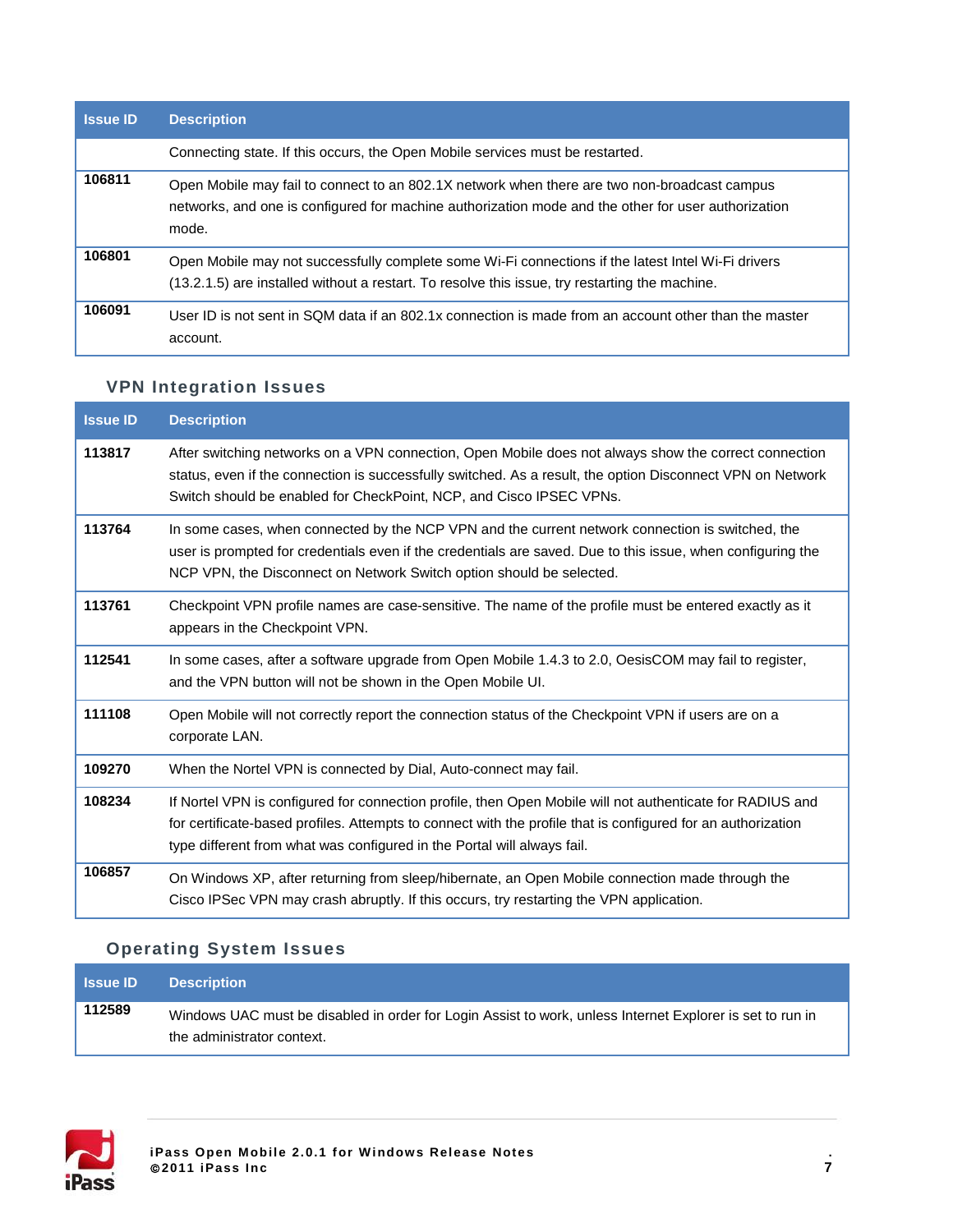| <b>Issue ID</b> | <b>Description</b>                                                                                                                                                                                           |
|-----------------|--------------------------------------------------------------------------------------------------------------------------------------------------------------------------------------------------------------|
|                 | Connecting state. If this occurs, the Open Mobile services must be restarted.                                                                                                                                |
| 106811          | Open Mobile may fail to connect to an 802.1X network when there are two non-broadcast campus<br>networks, and one is configured for machine authorization mode and the other for user authorization<br>mode. |
| 106801          | Open Mobile may not successfully complete some Wi-Fi connections if the latest Intel Wi-Fi drivers<br>(13.2.1.5) are installed without a restart. To resolve this issue, try restarting the machine.         |
| 106091          | User ID is not sent in SQM data if an 802.1x connection is made from an account other than the master<br>account.                                                                                            |

## **VPN Integration Issues**

| <b>Issue ID</b> | <b>Description</b>                                                                                                                                                                                                                                                                                   |
|-----------------|------------------------------------------------------------------------------------------------------------------------------------------------------------------------------------------------------------------------------------------------------------------------------------------------------|
| 113817          | After switching networks on a VPN connection, Open Mobile does not always show the correct connection<br>status, even if the connection is successfully switched. As a result, the option Disconnect VPN on Network<br>Switch should be enabled for CheckPoint, NCP, and Cisco IPSEC VPNs.           |
| 113764          | In some cases, when connected by the NCP VPN and the current network connection is switched, the<br>user is prompted for credentials even if the credentials are saved. Due to this issue, when configuring the<br>NCP VPN, the Disconnect on Network Switch option should be selected.              |
| 113761          | Checkpoint VPN profile names are case-sensitive. The name of the profile must be entered exactly as it<br>appears in the Checkpoint VPN.                                                                                                                                                             |
| 112541          | In some cases, after a software upgrade from Open Mobile 1.4.3 to 2.0, OesisCOM may fail to register,<br>and the VPN button will not be shown in the Open Mobile UI.                                                                                                                                 |
| 111108          | Open Mobile will not correctly report the connection status of the Checkpoint VPN if users are on a<br>corporate LAN.                                                                                                                                                                                |
| 109270          | When the Nortel VPN is connected by Dial, Auto-connect may fail.                                                                                                                                                                                                                                     |
| 108234          | If Nortel VPN is configured for connection profile, then Open Mobile will not authenticate for RADIUS and<br>for certificate-based profiles. Attempts to connect with the profile that is configured for an authorization<br>type different from what was configured in the Portal will always fail. |
| 106857          | On Windows XP, after returning from sleep/hibernate, an Open Mobile connection made through the<br>Cisco IPSec VPN may crash abruptly. If this occurs, try restarting the VPN application.                                                                                                           |

## **Operating System Issues**

| <b>Issue ID</b> | <b>Description</b>                                                                                                                      |
|-----------------|-----------------------------------------------------------------------------------------------------------------------------------------|
| 112589          | Windows UAC must be disabled in order for Login Assist to work, unless Internet Explorer is set to run in<br>the administrator context. |

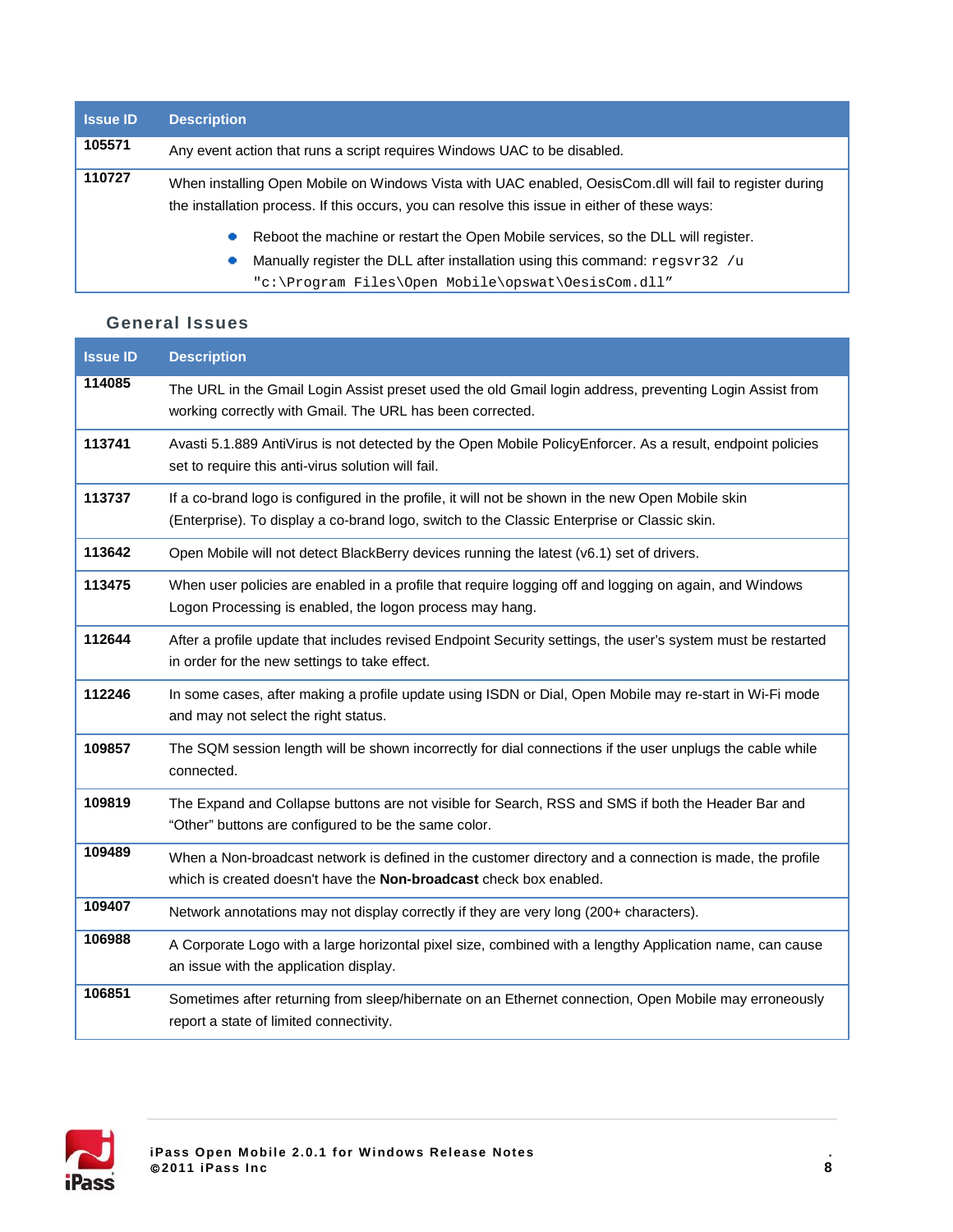| <b>Issue ID</b> | <b>Description</b>                                                                                                                                                                                        |
|-----------------|-----------------------------------------------------------------------------------------------------------------------------------------------------------------------------------------------------------|
| 105571          | Any event action that runs a script requires Windows UAC to be disabled.                                                                                                                                  |
| 110727          | When installing Open Mobile on Windows Vista with UAC enabled, OesisCom.dll will fail to register during<br>the installation process. If this occurs, you can resolve this issue in either of these ways: |
|                 | Reboot the machine or restart the Open Mobile services, so the DLL will register.                                                                                                                         |
|                 | Manually register the DLL after installation using this command: regsvr32 /u<br>"c:\Program Files\Open Mobile\opswat\OesisCom.dll"                                                                        |

#### **General Issues**

| <b>Issue ID</b> | <b>Description</b>                                                                                                                                                                               |
|-----------------|--------------------------------------------------------------------------------------------------------------------------------------------------------------------------------------------------|
| 114085          | The URL in the Gmail Login Assist preset used the old Gmail login address, preventing Login Assist from<br>working correctly with Gmail. The URL has been corrected.                             |
| 113741          | Avasti 5.1.889 AntiVirus is not detected by the Open Mobile PolicyEnforcer. As a result, endpoint policies<br>set to require this anti-virus solution will fail.                                 |
| 113737          | If a co-brand logo is configured in the profile, it will not be shown in the new Open Mobile skin<br>(Enterprise). To display a co-brand logo, switch to the Classic Enterprise or Classic skin. |
| 113642          | Open Mobile will not detect BlackBerry devices running the latest (v6.1) set of drivers.                                                                                                         |
| 113475          | When user policies are enabled in a profile that require logging off and logging on again, and Windows<br>Logon Processing is enabled, the logon process may hang.                               |
| 112644          | After a profile update that includes revised Endpoint Security settings, the user's system must be restarted<br>in order for the new settings to take effect.                                    |
| 112246          | In some cases, after making a profile update using ISDN or Dial, Open Mobile may re-start in Wi-Fi mode<br>and may not select the right status.                                                  |
| 109857          | The SQM session length will be shown incorrectly for dial connections if the user unplugs the cable while<br>connected.                                                                          |
| 109819          | The Expand and Collapse buttons are not visible for Search, RSS and SMS if both the Header Bar and<br>"Other" buttons are configured to be the same color.                                       |
| 109489          | When a Non-broadcast network is defined in the customer directory and a connection is made, the profile<br>which is created doesn't have the Non-broadcast check box enabled.                    |
| 109407          | Network annotations may not display correctly if they are very long (200+ characters).                                                                                                           |
| 106988          | A Corporate Logo with a large horizontal pixel size, combined with a lengthy Application name, can cause<br>an issue with the application display.                                               |
| 106851          | Sometimes after returning from sleep/hibernate on an Ethernet connection, Open Mobile may erroneously<br>report a state of limited connectivity.                                                 |